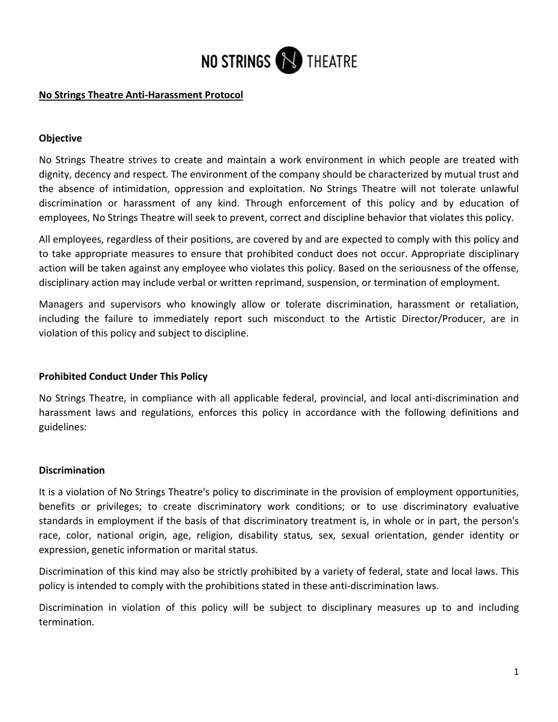

### **No Strings Theatre Anti-Harassment Protocol**

## **Objective**

No Strings Theatre strives to create and maintain a work environment in which people are treated with dignity, decency and respect. The environment of the company should be characterized by mutual trust and the absence of intimidation, oppression and exploitation. No Strings Theatre will not tolerate unlawful discrimination or harassment of any kind. Through enforcement of this policy and by education of employees, No Strings Theatre will seek to prevent, correct and discipline behavior that violates this policy.

All employees, regardless of their positions, are covered by and are expected to comply with this policy and to take appropriate measures to ensure that prohibited conduct does not occur. Appropriate disciplinary action will be taken against any employee who violates this policy. Based on the seriousness of the offense, disciplinary action may include verbal or written reprimand, suspension, or termination of employment.

Managers and supervisors who knowingly allow or tolerate discrimination, harassment or retaliation, including the failure to immediately report such misconduct to the Artistic Director/Producer, are in violation of this policy and subject to discipline.

### **Prohibited Conduct Under This Policy**

No Strings Theatre, in compliance with all applicable federal, provincial, and local anti-discrimination and harassment laws and regulations, enforces this policy in accordance with the following definitions and guidelines:

### **Discrimination**

It is a violation of No Strings Theatre's policy to discriminate in the provision of employment opportunities, benefits or privileges; to create discriminatory work conditions; or to use discriminatory evaluative standards in employment if the basis of that discriminatory treatment is, in whole or in part, the person's race, color, national origin, age, religion, disability status, sex, sexual orientation, gender identity or expression, genetic information or marital status.

Discrimination of this kind may also be strictly prohibited by a variety of federal, state and local laws. This policy is intended to comply with the prohibitions stated in these anti-discrimination laws.

Discrimination in violation of this policy will be subject to disciplinary measures up to and including termination.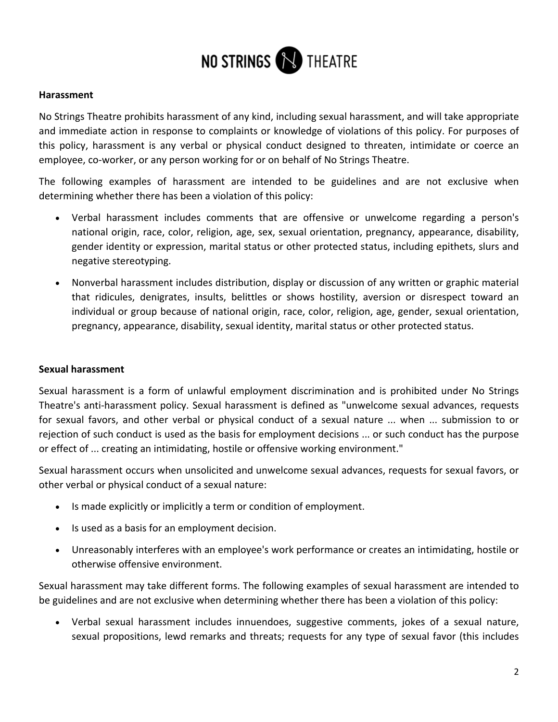

#### **Harassment**

No Strings Theatre prohibits harassment of any kind, including sexual harassment, and will take appropriate and immediate action in response to complaints or knowledge of violations of this policy. For purposes of this policy, harassment is any verbal or physical conduct designed to threaten, intimidate or coerce an employee, co-worker, or any person working for or on behalf of No Strings Theatre.

The following examples of harassment are intended to be guidelines and are not exclusive when determining whether there has been a violation of this policy:

- Verbal harassment includes comments that are offensive or unwelcome regarding a person's national origin, race, color, religion, age, sex, sexual orientation, pregnancy, appearance, disability, gender identity or expression, marital status or other protected status, including epithets, slurs and negative stereotyping.
- Nonverbal harassment includes distribution, display or discussion of any written or graphic material that ridicules, denigrates, insults, belittles or shows hostility, aversion or disrespect toward an individual or group because of national origin, race, color, religion, age, gender, sexual orientation, pregnancy, appearance, disability, sexual identity, marital status or other protected status.

### **Sexual harassment**

Sexual harassment is a form of unlawful employment discrimination and is prohibited under No Strings Theatre's anti-harassment policy. Sexual harassment is defined as "unwelcome sexual advances, requests for sexual favors, and other verbal or physical conduct of a sexual nature ... when ... submission to or rejection of such conduct is used as the basis for employment decisions ... or such conduct has the purpose or effect of ... creating an intimidating, hostile or offensive working environment."

Sexual harassment occurs when unsolicited and unwelcome sexual advances, requests for sexual favors, or other verbal or physical conduct of a sexual nature:

- Is made explicitly or implicitly a term or condition of employment.
- Is used as a basis for an employment decision.
- Unreasonably interferes with an employee's work performance or creates an intimidating, hostile or otherwise offensive environment.

Sexual harassment may take different forms. The following examples of sexual harassment are intended to be guidelines and are not exclusive when determining whether there has been a violation of this policy:

• Verbal sexual harassment includes innuendoes, suggestive comments, jokes of a sexual nature, sexual propositions, lewd remarks and threats; requests for any type of sexual favor (this includes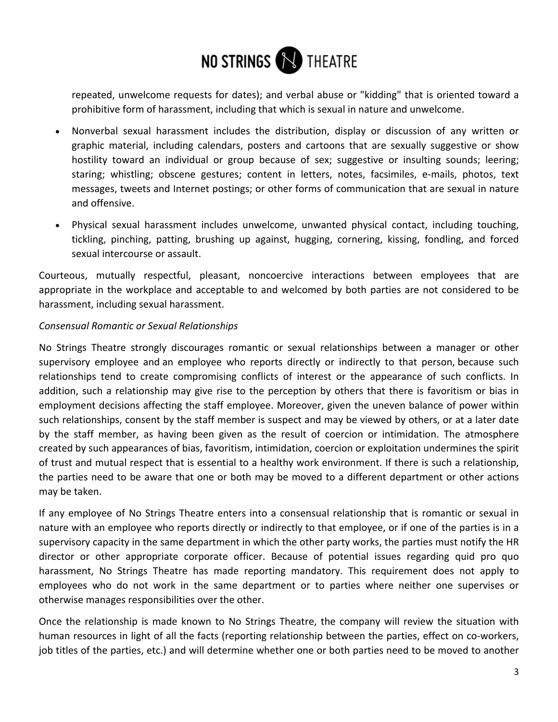

repeated, unwelcome requests for dates); and verbal abuse or "kidding" that is oriented toward a prohibitive form of harassment, including that which is sexual in nature and unwelcome.

- Nonverbal sexual harassment includes the distribution, display or discussion of any written or graphic material, including calendars, posters and cartoons that are sexually suggestive or show hostility toward an individual or group because of sex; suggestive or insulting sounds; leering; staring; whistling; obscene gestures; content in letters, notes, facsimiles, e-mails, photos, text messages, tweets and Internet postings; or other forms of communication that are sexual in nature and offensive.
- Physical sexual harassment includes unwelcome, unwanted physical contact, including touching, tickling, pinching, patting, brushing up against, hugging, cornering, kissing, fondling, and forced sexual intercourse or assault.

Courteous, mutually respectful, pleasant, noncoercive interactions between employees that are appropriate in the workplace and acceptable to and welcomed by both parties are not considered to be harassment, including sexual harassment.

## *Consensual Romantic or Sexual Relationships*

No Strings Theatre strongly discourages romantic or sexual relationships between a manager or other supervisory employee and an employee who reports directly or indirectly to that person, because such relationships tend to create compromising conflicts of interest or the appearance of such conflicts. In addition, such a relationship may give rise to the perception by others that there is favoritism or bias in employment decisions affecting the staff employee. Moreover, given the uneven balance of power within such relationships, consent by the staff member is suspect and may be viewed by others, or at a later date by the staff member, as having been given as the result of coercion or intimidation. The atmosphere created by such appearances of bias, favoritism, intimidation, coercion or exploitation undermines the spirit of trust and mutual respect that is essential to a healthy work environment. If there is such a relationship, the parties need to be aware that one or both may be moved to a different department or other actions may be taken.

If any employee of No Strings Theatre enters into a consensual relationship that is romantic or sexual in nature with an employee who reports directly or indirectly to that employee, or if one of the parties is in a supervisory capacity in the same department in which the other party works, the parties must notify the HR director or other appropriate corporate officer. Because of potential issues regarding quid pro quo harassment, No Strings Theatre has made reporting mandatory. This requirement does not apply to employees who do not work in the same department or to parties where neither one supervises or otherwise manages responsibilities over the other.

Once the relationship is made known to No Strings Theatre, the company will review the situation with human resources in light of all the facts (reporting relationship between the parties, effect on co-workers, job titles of the parties, etc.) and will determine whether one or both parties need to be moved to another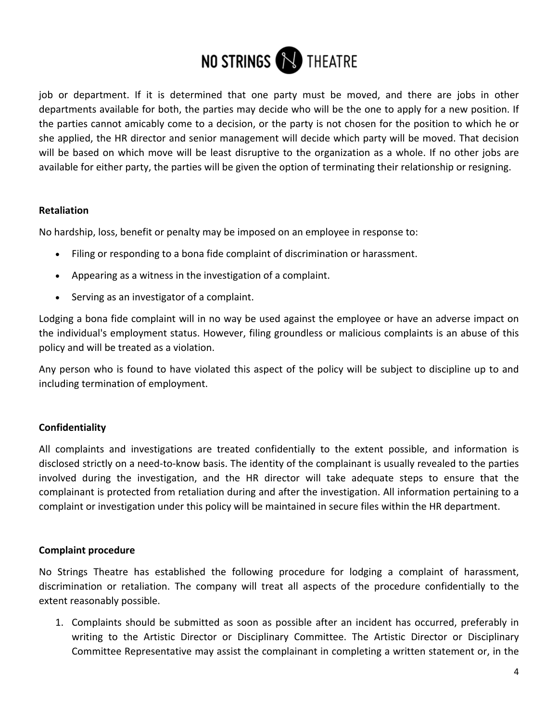

job or department. If it is determined that one party must be moved, and there are jobs in other departments available for both, the parties may decide who will be the one to apply for a new position. If the parties cannot amicably come to a decision, or the party is not chosen for the position to which he or she applied, the HR director and senior management will decide which party will be moved. That decision will be based on which move will be least disruptive to the organization as a whole. If no other jobs are available for either party, the parties will be given the option of terminating their relationship or resigning.

## **Retaliation**

No hardship, loss, benefit or penalty may be imposed on an employee in response to:

- Filing or responding to a bona fide complaint of discrimination or harassment.
- Appearing as a witness in the investigation of a complaint.
- Serving as an investigator of a complaint.

Lodging a bona fide complaint will in no way be used against the employee or have an adverse impact on the individual's employment status. However, filing groundless or malicious complaints is an abuse of this policy and will be treated as a violation.

Any person who is found to have violated this aspect of the policy will be subject to discipline up to and including termination of employment.

# **Confidentiality**

All complaints and investigations are treated confidentially to the extent possible, and information is disclosed strictly on a need-to-know basis. The identity of the complainant is usually revealed to the parties involved during the investigation, and the HR director will take adequate steps to ensure that the complainant is protected from retaliation during and after the investigation. All information pertaining to a complaint or investigation under this policy will be maintained in secure files within the HR department.

# **Complaint procedure**

No Strings Theatre has established the following procedure for lodging a complaint of harassment, discrimination or retaliation. The company will treat all aspects of the procedure confidentially to the extent reasonably possible.

1. Complaints should be submitted as soon as possible after an incident has occurred, preferably in writing to the Artistic Director or Disciplinary Committee. The Artistic Director or Disciplinary Committee Representative may assist the complainant in completing a written statement or, in the